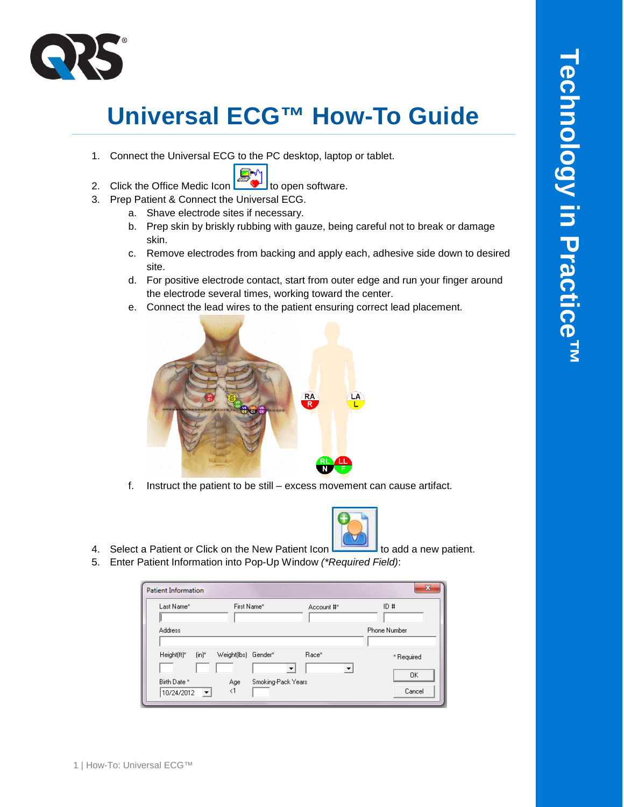

## **Universal ECG™ How-To Guide**

1. Connect the Universal ECG to the PC desktop, laptop or tablet.



- 2. Click the Office Medic Icon  $\Box$  to open software.
- 3. Prep Patient & Connect the Universal ECG.
	- a. Shave electrode sites if necessary.
	- b. Prep skin by briskly rubbing with gauze, being careful not to break or damage skin.
	- c. Remove electrodes from backing and apply each, adhesive side down to desired site.
	- d. For positive electrode contact, start from outer edge and run your finger around the electrode several times, working toward the center.
	- e. Connect the lead wires to the patient ensuring correct lead placement.



f. Instruct the patient to be still – excess movement can cause artifact.



- 4. Select a Patient or Click on the New Patient Icon to add a new patient.
- 5. Enter Patient Information into Pop-Up Window *(\*Required Field)*:

| <b>Patient Information</b>                             |                 |                    |            | x                |
|--------------------------------------------------------|-----------------|--------------------|------------|------------------|
| Last Name*                                             | First Name*     |                    | Account #* | ID#              |
| <b>Address</b>                                         |                 |                    |            | Phone Number     |
| Height[ft]*<br>$[{\sf in}]^*$                          | Weight[lbs]     | Gender*            | Race*      | * Required<br>ΟK |
| Birth Date *<br>10/24/2012<br>$\overline{\phantom{a}}$ | Age<br>$\leq$ 1 | Smoking-Pack Years |            | Cancel           |